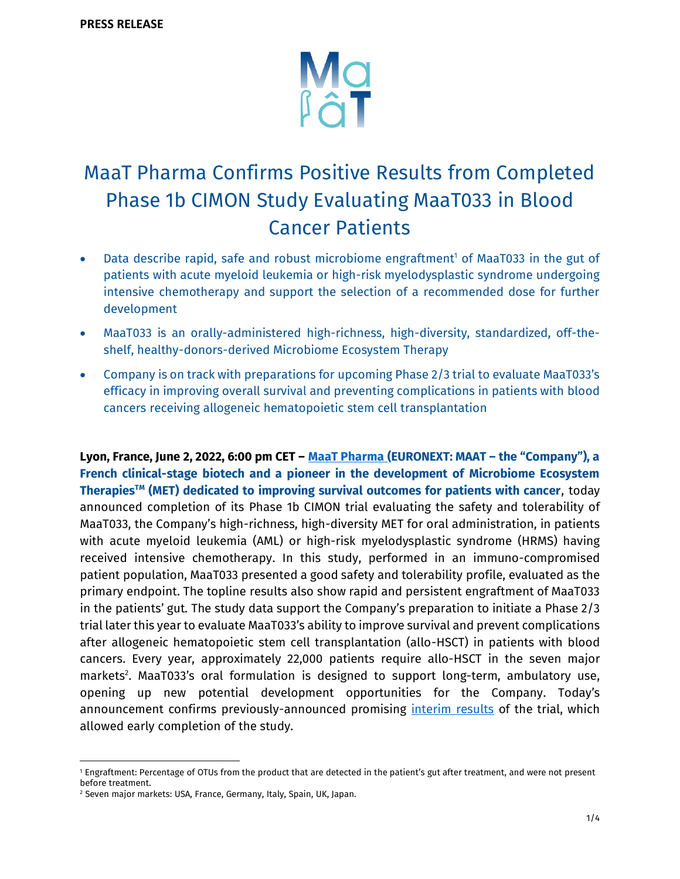

# MaaT Pharma Confirms Positive Results from Completed Phase 1b CIMON Study Evaluating MaaT033 in Blood Cancer Patients

- Data describe rapid, safe and robust microbiome engraftment<sup>1</sup> of MaaT033 in the gut of patients with acute myeloid leukemia or high-risk myelodysplastic syndrome undergoing intensive chemotherapy and support the selection of a recommended dose for further development
- MaaT033 is an orally-administered high-richness, high-diversity, standardized, off-theshelf, healthy-donors-derived Microbiome Ecosystem Therapy
- Company is on track with preparations for upcoming Phase 2/3 trial to evaluate MaaT033's efficacy in improving overall survival and preventing complications in patients with blood cancers receiving allogeneic hematopoietic stem cell transplantation

**Lyon, France, June 2, 2022, 6:00 pm CET – [MaaT Pharma](https://www.maatpharma.com/) (EURONEXT: MAAT – the "Company"), a French clinical-stage biotech and a pioneer in the development of Microbiome Ecosystem TherapiesTM (MET) dedicated to improving survival outcomes for patients with cancer**, today announced completion of its Phase 1b CIMON trial evaluating the safety and tolerability of MaaT033, the Company's high-richness, high-diversity MET for oral administration, in patients with acute myeloid leukemia (AML) or high-risk myelodysplastic syndrome (HRMS) having received intensive chemotherapy. In this study, performed in an immuno-compromised patient population, MaaT033 presented a good safety and tolerability profile, evaluated as the primary endpoint. The topline results also show rapid and persistent engraftment of MaaT033 in the patients' gut. The study data support the Company's preparation to initiate a Phase 2/3 trial later this year to evaluate MaaT033's ability to improve survival and prevent complications after allogeneic hematopoietic stem cell transplantation (allo-HSCT) in patients with blood cancers. Every year, approximately 22,000 patients require allo-HSCT in the seven major markets<sup>2</sup>. MaaT033's oral formulation is designed to support long-term, ambulatory use, opening up new potential development opportunities for the Company. Today's announcement confirms previously-announced promising [interim results](https://www.maatpharma.com/maat-pharma-announces-positive-interim-engraftment-data-for-oral-formulation-maat033-allowing-early-termination-of-phase-1b-cimon-study/) of the trial, which allowed early completion of the study.

<sup>1</sup> Engraftment: Percentage of OTUs from the product that are detected in the patient's gut after treatment, and were not present before treatment.

<sup>2</sup> Seven major markets: USA, France, Germany, Italy, Spain, UK, Japan.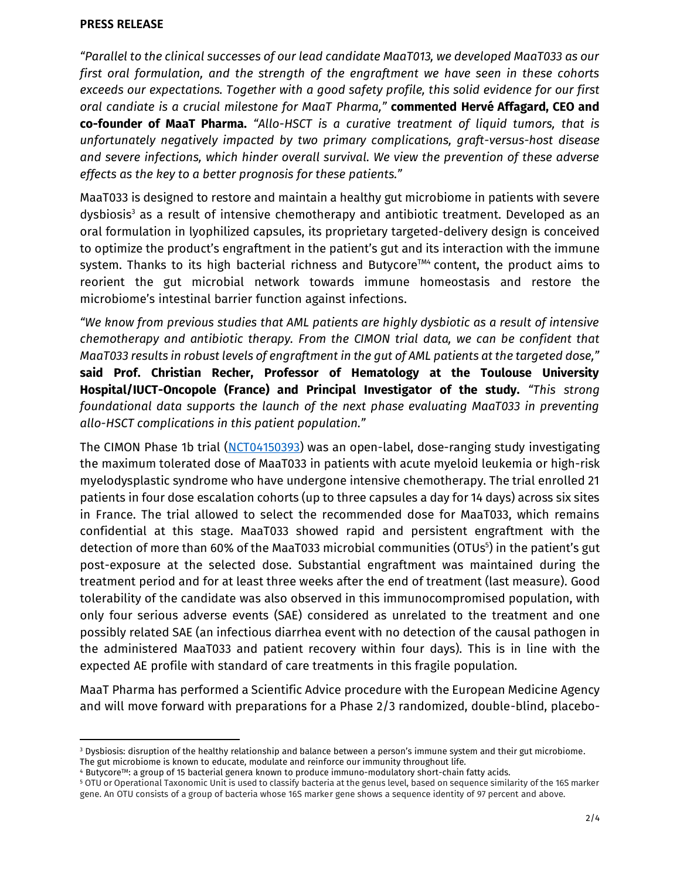# **PRESS RELEASE**

*"Parallel to the clinical successes of our lead candidate MaaT013, we developed MaaT033 as our first oral formulation, and the strength of the engraftment we have seen in these cohorts exceeds our expectations. Together with a good safety profile, this solid evidence for our first oral candiate is a crucial milestone for MaaT Pharma,"* **commented Hervé Affagard, CEO and co-founder of MaaT Pharma.** *"Allo-HSCT is a curative treatment of liquid tumors, that is unfortunately negatively impacted by two primary complications, graft-versus-host disease and severe infections, which hinder overall survival. We view the prevention of these adverse effects as the key to a better prognosis for these patients."* 

MaaT033 is designed to restore and maintain a healthy gut microbiome in patients with severe dysbiosis<sup>3</sup> as a result of intensive chemotherapy and antibiotic treatment. Developed as an oral formulation in lyophilized capsules, its proprietary targeted-delivery design is conceived to optimize the product's engraftment in the patient's gut and its interaction with the immune system. Thanks to its high bacterial richness and Butycore $\texttt{TM4}$  content, the product aims to reorient the gut microbial network towards immune homeostasis and restore the microbiome's intestinal barrier function against infections.

*"We know from previous studies that AML patients are highly dysbiotic as a result of intensive chemotherapy and antibiotic therapy. From the CIMON trial data, we can be confident that MaaT033 results in robust levels of engraftment in the gut of AML patients at the targeted dose,"*  **said Prof. Christian Recher, Professor of Hematology at the Toulouse University Hospital/IUCT-Oncopole (France) and Principal Investigator of the study.** *"This strong foundational data supports the launch of the next phase evaluating MaaT033 in preventing allo-HSCT complications in this patient population."*

The CIMON Phase 1b trial [\(NCT04150393\)](https://clinicaltrials.gov/ct2/show/NCT04150393) was an open-label, dose-ranging study investigating the maximum tolerated dose of MaaT033 in patients with acute myeloid leukemia or high-risk myelodysplastic syndrome who have undergone intensive chemotherapy. The trial enrolled 21 patients in four dose escalation cohorts (up to three capsules a day for 14 days) across six sites in France. The trial allowed to select the recommended dose for MaaT033, which remains confidential at this stage. MaaT033 showed rapid and persistent engraftment with the detection of more than 60% of the MaaT033 microbial communities (OTUs<sup>5</sup>) in the patient's gut post-exposure at the selected dose. Substantial engraftment was maintained during the treatment period and for at least three weeks after the end of treatment (last measure). Good tolerability of the candidate was also observed in this immunocompromised population, with only four serious adverse events (SAE) considered as unrelated to the treatment and one possibly related SAE (an infectious diarrhea event with no detection of the causal pathogen in the administered MaaT033 and patient recovery within four days). This is in line with the expected AE profile with standard of care treatments in this fragile population.

MaaT Pharma has performed a Scientific Advice procedure with the European Medicine Agency and will move forward with preparations for a Phase 2/3 randomized, double-blind, placebo-

<sup>&</sup>lt;sup>3</sup> Dysbiosis: disruption of the healthy relationship and balance between a person's immune system and their gut microbiome. The gut microbiome is known to educate, modulate and reinforce our immunity throughout life.

<sup>4</sup> ButycoreTM: a group of 15 bacterial genera known to produce immuno-modulatory short-chain fatty acids.

<sup>5</sup> OTU or Operational Taxonomic Unit is used to classify bacteria at the genus level, based on sequence similarity of the 16S marker gene. An OTU consists of a group of bacteria whose 16S marker gene shows a sequence identity of 97 percent and above.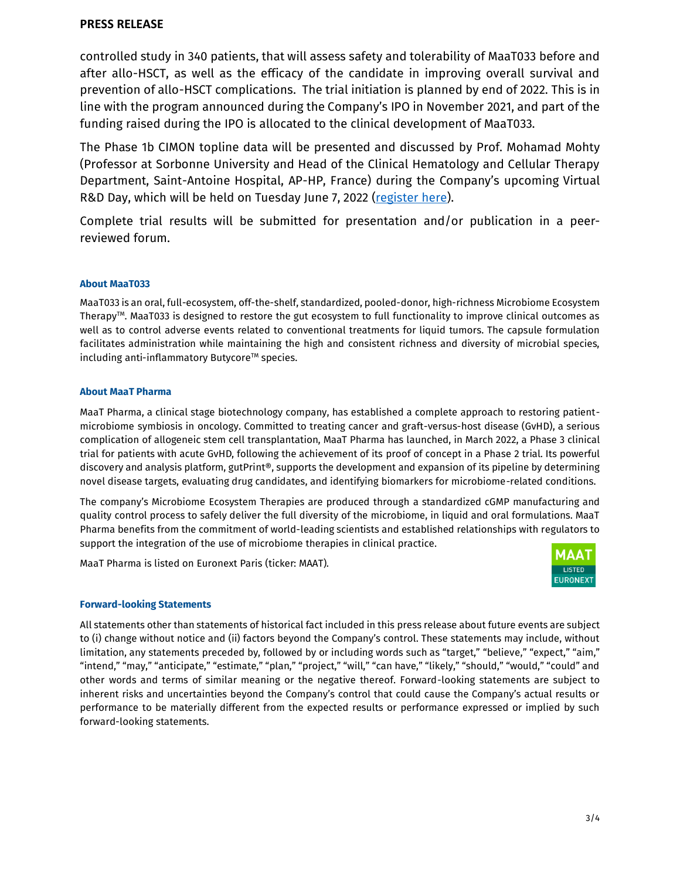# **PRESS RELEASE**

controlled study in 340 patients, that will assess safety and tolerability of MaaT033 before and after allo-HSCT, as well as the efficacy of the candidate in improving overall survival and prevention of allo-HSCT complications. The trial initiation is planned by end of 2022. This is in line with the program announced during the Company's IPO in November 2021, and part of the funding raised during the IPO is allocated to the clinical development of MaaT033.

The Phase 1b CIMON topline data will be presented and discussed by Prof. Mohamad Mohty (Professor at Sorbonne University and Head of the Clinical Hematology and Cellular Therapy Department, Saint-Antoine Hospital, AP-HP, France) during the Company's upcoming Virtual R&D Day, which will be held on Tuesday June 7, 2022 [\(register here\)](https://onlinexperiences.com/scripts/Server.nxp?LASCmd=AI%3A4%3BF%3AQS%2110100&ShowUUID=9214F35A-5C05-4215-A4D4-E8A2A842D908&LangLocaleID=1036).

Complete trial results will be submitted for presentation and/or publication in a peerreviewed forum.

## **About MaaT033**

MaaT033 is an oral, full-ecosystem, off-the-shelf, standardized, pooled-donor, high-richness Microbiome Ecosystem TherapyTM. MaaT033 is designed to restore the gut ecosystem to full functionality to improve clinical outcomes as well as to control adverse events related to conventional treatments for liquid tumors. The capsule formulation facilitates administration while maintaining the high and consistent richness and diversity of microbial species, including anti-inflammatory Butycore™ species.

#### **About MaaT Pharma**

MaaT Pharma, a clinical stage biotechnology company, has established a complete approach to restoring patientmicrobiome symbiosis in oncology. Committed to treating cancer and graft-versus-host disease (GvHD), a serious complication of allogeneic stem cell transplantation, MaaT Pharma has launched, in March 2022, a Phase 3 clinical trial for patients with acute GvHD, following the achievement of its proof of concept in a Phase 2 trial. Its powerful discovery and analysis platform, gutPrint®, supports the development and expansion of its pipeline by determining novel disease targets, evaluating drug candidates, and identifying biomarkers for microbiome-related conditions.

The company's Microbiome Ecosystem Therapies are produced through a standardized cGMP manufacturing and quality control process to safely deliver the full diversity of the microbiome, in liquid and oral formulations. MaaT Pharma benefits from the commitment of world-leading scientists and established relationships with regulators to support the integration of the use of microbiome therapies in clinical practice.

MaaT Pharma is listed on Euronext Paris (ticker: MAAT).



## **Forward-looking Statements**

All statements other than statements of historical fact included in this press release about future events are subject to (i) change without notice and (ii) factors beyond the Company's control. These statements may include, without limitation, any statements preceded by, followed by or including words such as "target," "believe," "expect," "aim," "intend," "may," "anticipate," "estimate," "plan," "project," "will," "can have," "likely," "should," "would," "could" and other words and terms of similar meaning or the negative thereof. Forward-looking statements are subject to inherent risks and uncertainties beyond the Company's control that could cause the Company's actual results or performance to be materially different from the expected results or performance expressed or implied by such forward-looking statements.